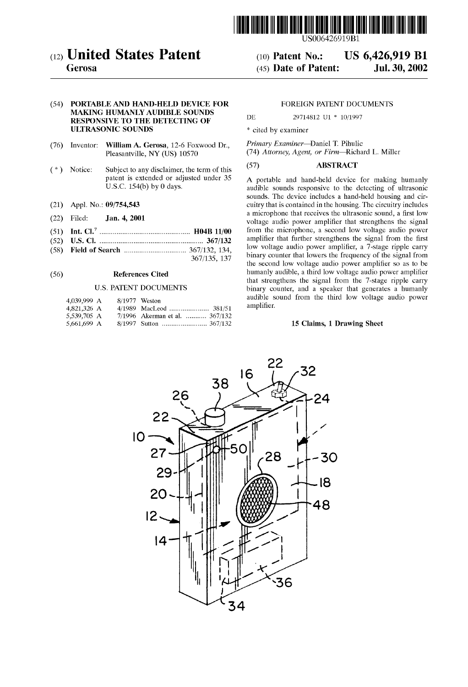

(12) United States Patent (10) Patent No.: US 6,426,919 B1<br>Gerosa (45) Date of Patent: Jul. 30, 2002

# (54) PORTABLE AND HAND-HELD DEVICE FOR FOREIGN PATENT DOCUMENTS MAKING HUMANLY AUDIBLE SOUNDS<br>
DE 29714812 U1 \* 10/1997 RESPONSIVE TO THE DETECTING OF ULTRASONIC SOUNDS \* cited by examiner

- (76) Inventor: William A. Gerosa, 12-6 Foxwood Dr., Primary Examiner—Daniel T. Pihulic<br>Pleasantville, NY (US) 10570 (74) Attorney, Agent, or Firm—Richa
- (\*) Notice: Subject to any disclaimer, the term of this  $(57)$  ABSTRACT patent is extended or adjusted under 35 A portable and hand-held device
- 
- 
- 
- -

# U.S. PATENT DOCUMENTS

| 4,039,999 A | 8/1977 Weston |                                |
|-------------|---------------|--------------------------------|
| 4,821,326 A |               |                                |
| 5,539,705 A |               | 7/1996 Akerman et al.  367/132 |
| 5,661,699 A |               |                                |

 $(45)$  Date of Patent:

(74) Attorney, Agent, or Firm-Richard L. Miller

patent is extended or adjusted under 35 A portable and hand-held device for making humanly U.S.C. 154(b) by 0 days. audible sounds responsive to the detecting of ultrasonic sounds. The device includes a hand-held housing and cir-(21) Appl. No.: 09/754,543 cuitry that is contained in the housing. The circuitry includes 1. Filed: **1.1. a microphone** that receives the ultrasonic sound, a first low (22) Filed: **Jan. 4, 2001 a** difference that Increase the diffusion and solid, a first fow<br>voltage audio power amplifier that strengthens the signal (51) Int. Cl." ................................................ H04B 11/00 from the microphone, a Second low voltage audio power (52) U.S. Cl. ....................................................... 367/132 amplifier that further Strengthens the Signal from the first (58) Field of Search 367/132, 134 low Voltage audio power amplifier, a 7-stage ripple carry - - - - - - - - - - - - - - - - - - - - - - - - - - - - - - - - - 36735 37 binary counter that lowers the frequency of the Signal from the second low voltage audio power amplifier so as to be (56) **References Cited** humanly audible, a third low voltage audio power amplifier<br>that strengthens the signal from the 7-stage ripple carry binary counter, and a speaker that generates a humanly audible sound from the third low voltage audio power amplifier.

# 15 Claims, 1 Drawing Sheet

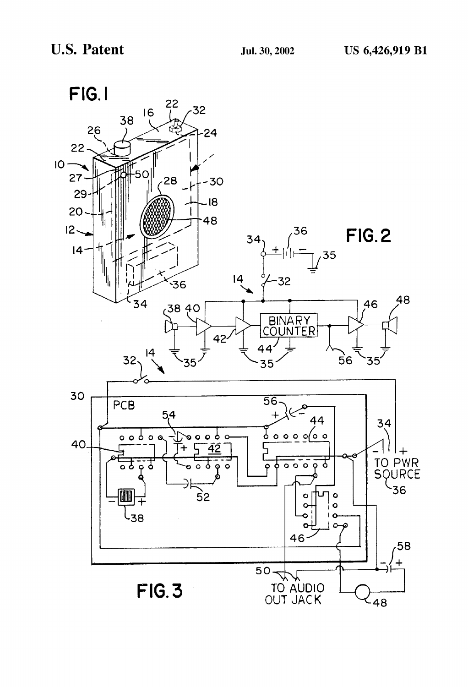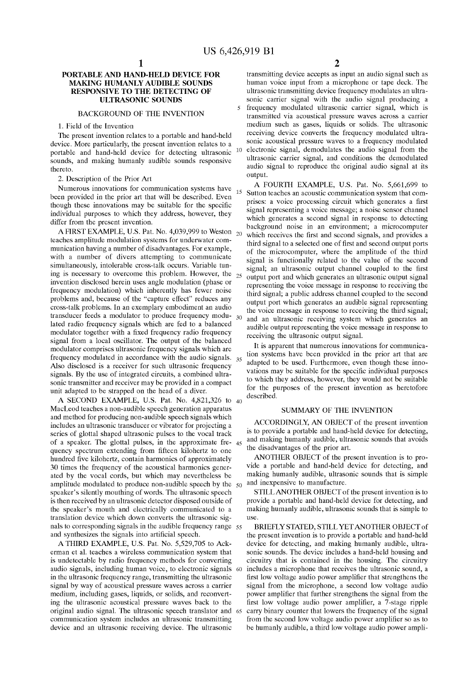15

output.

# PORTABLE AND HAND-HELD DEVICE FOR MAKING HUMANLY AUDIBLE SOUNDS RESPONSIVE TO THE DETECTING OF ULTRASONIC SOUNDS

# BACKGROUND OF THE INVENTION

### 1. Field of the Invention

The present invention relates to a portable and hand-held device. More particularly, the present invention relates to a portable and hand-held device for detecting ultrasonic sounds, and making humanly audible sounds responsive thereto.

2. Description of the Prior Art

Numerous innovations for communication Systems have been provided in the prior art that will be described. Even though these innovations may be suitable for the specific individual purposes to which they address, however, they differ from the present invention.

A FIRST EXAMPLE, U.S. Pat. No. 4,039,999 to Weston teaches amplitude modulation Systems for underwater com munication having a number of disadvantages. For example, with a number of divers attempting to communicate simultaneously, intolerable cross-talk occurs. Variable tuning is necessary to overcome this problem. However, the invention disclosed herein uses angle modulation (phase or frequency modulation) which inherently has fewer noise problems and, because of the "capture effect" reduces any cross-talk problems. In an exemplary embodiment an audio transducer feeds a modulator to produce frequency modu- 30 lated radio frequency Signals which are fed to a balanced modulator together with a fixed frequency radio frequency signal from a local oscillator. The output of the balanced modulator comprises ultrasonic frequency signals which are frequency modulated in accordance with the audio signals.<br>Also disclosed is a receiver for such ultrasonic frequency signals. By the use of integrated circuits, a combined ultrasonic transmitter and receiver may be provided in a compact unit adapted to be strapped on the head of a diver. 35

A SECOND EXAMPLE, U.S. Pat. No. 4,821,326 to 40 MacLeod teaches a non-audible Speech generation apparatus and method for producing non-audible speech Signals which includes an ultrasonic transducer or vibrator for projecting a series of glottal shaped ultrasonic pulses to the vocal track of a speaker. The glottal pulses, in the approximate fre- 45 quency spectrum extending from fifteen kilohertz to one hundred five kilohertz, contain harmonics of approximately 30 times the frequency of the acoustical harmonics gener ated by the vocal cords, but which may nevertheless be amplitude modulated to produce non-audible speech by the 50 speaker's silently mouthing of words. The ultrasonic speech is then received by an ultrasonic detector disposed outside of the speaker's mouth and electrically communicated to a translation device which down converts the ultrasonic sigtranslation device which down converts the ultrasonic sig-<br>nals to corresponding signals in the audible frequency range 55 and synthesizes the signals into artificial speech.

A THIRD EXAMPLE, U.S. Pat. No. 5,529,705 to Ack erman et al. teaches a wireless communication system that is undetectable by radio frequency methods for converting audio signals, including human voice, to electronic signals in the ultrasonic frequency range, transmitting the ultrasonic signal by way of acoustical pressure waves across a carrier medium, including gases, liquids, or Solids, and reconvert ing the ultrasonic acoustical pressure waves back to the original audio signal. The ultrasonic Speech translator and communication system includes an ultrasonic transmitting device and an ultrasonic receiving device. The ultrasonic 60 65

transmitting device accepts as input an audio signal Such as human Voice input from a microphone or tape deck. The ultrasonic transmitting device frequency modulates an ultrasonic carrier signal with the audio signal producing a frequency modulated ultrasonic carrier signal, which is transmitted via acoustical pressure waves across a carrier medium such as gases, liquids or solids. The ultrasonic receiving device converts the frequency modulated ultra sonic acoustical pressure waves to a frequency modulated 10 electronic signal, demodulates the audio signal from the ultrasonic carrier signal, and conditions the demodulated audio signal to reproduce the original audio signal at its

<sup>25</sup> output port and which generates an ultrasonic output signal A FOURTH EXAMPLE, U.S. Pat. No. 5,661,699 to Sutton teaches an acoustic communication System that com prises: a voice processing circuit which generates a first signal representing a voice message; a noise sensor channel which generates a second signal in response to detecting background noise in an environment, a microcomputer which receives the first and second signals, and provides a third signal to a selected one of first and second output ports of the microcomputer, where the amplitude of the third signal is functionally related to the value of the second signal; an ultrasonic output channel coupled to the first representing the voice message in response to receiving the third signal; a public address channel coupled to the second output port which generates an audible signal representing the Voice message in response to receiving the third signal; and an ultrasonic receiving system which generates an audible output representing the Voice message in response to receiving the ultrasonic output signal.

It is apparent that numerous innovations for communica tion Systems have been provided in the prior art that are adapted to be used. Furthermore, even though these inno vations may be suitable for the specific individual purposes to which they address, however, they would not be suitable for the purposes of the present invention as heretofore described.

### SUMMARY OF THE INVENTION

ACCORDINGLY. AN OBJECT of the present invention is to provide a portable and hand-held device for detecting, and making humanly audible, ultrasonic sounds that avoids the disadvantages of the prior art.

ANOTHER OBJECT of the present invention is to provide a portable and hand-held device for detecting, and making humanly audible, ultrasonic Sounds that is simple and inexpensive to manufacture.

STILL ANOTHER OBJECT of the present invention is to provide a portable and hand-held device for detecting, and making humanly audible, ultrasonic sounds that is simple to use.

BRIEFLY STATED, STILLYET ANOTHER OBJECT of the present invention is to provide a portable and hand-held device for detecting, and making humanly audible, ultra sonic sounds. The device includes a hand-held housing and circuitry that is contained in the housing. The circuitry includes a microphone that receives the ultrasonic sound, a first low Voltage audio power amplifier that Strengthens the signal from the microphone, a second low voltage audio power amplifier that further Strengthens the Signal from the first low Voltage audio power amplifier, a 7-stage ripple carry binary counter that lowers the frequency of the signal from the second low voltage audio power amplifier so as to be humanly audible, a third low Voltage audio power ampli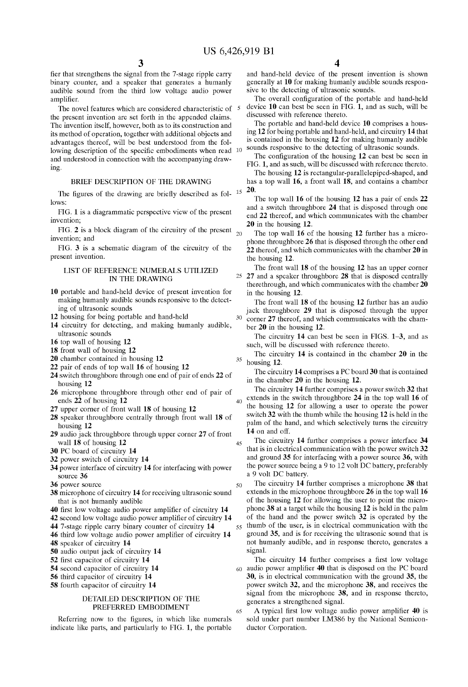35

45

65

fier that strengthens the signal from the 7-stage ripple carry binary counter, and a speaker that generates a humanly audible sound from the third low voltage audio power amplifier.

The novel features which are considered characteristic of 5 the present invention are Set forth in the appended claims. The invention itself, however, both as to its construction and its method of operation, together with additional objects and advantages thereof, will be best understood from the fol lowing description of the specific embodiments when read 10 and understood in connection with the accompanying draw Ing.

# BRIEF DESCRIPTION OF THE DRAWING

The figures of the drawing are briefly described as fol-  $^{15}$   $\frac{20}{T}$ lows:

FIG. 1 is a diagrammatic perspective view of the present invention;

FIG. 2 is a block diagram of the circuitry of the present  $_{20}$ invention; and

FIG. 3 is a schematic diagram of the circuitry of the present invention.

# LIST OF REFERENCE NUMERALS UTILIZED IN THE DRAWING

- 10 portable and hand-held device of present invention for making humanly audible sounds responsive to the detecting of ultrasonic sounds
- 12 housing for being portable and hand-held
- 14 circuitry for detecting, and making humanly audible, ultrasonic sounds
- 16 top wall of housing 12
- 18 front wall of housing 12
- 20 chamber contained in housing 12
- 22 pair of ends of top wall 16 of housing 12
- 24 Switch throughbore through one end of pair of ends 22 of housing 12
- 26 microphone throughbore through other end of pair of ends 22 of housing 12
- 27 upper corner of front wall 18 of housing 12
- 28 speaker throughbore centrally through front wall 18 of housing 12
- 29 audio jack throughbore through upper corner 27 of front wall 18 of housing 12
- 30 PC board of circuitry 14
- 32 power Switch of circuitry 14
- 34 power interface of circuitry 14 for interfacing with power Source 36
- 36 power source
- 38 microphone of circuitry 14 for receiving ultrasonic sound that is not humanly audible
- 40 first low voltage audio power amplifier of circuitry 14
- 42 second low voltage audio power amplifier of circuitry 14
- 44 7-stage ripple carry binary counter of circuitry 14
- 46 third low voltage audio power amplifier of circuitry 14
- 48 speaker of circuitry 14
- 50 audio output jack of circuitry 14
- 52 first capacitor of circuitry 14
- 54 second capacitor of circuitry 14
- 56 third capacitor of circuitry 14
- 58 fourth capacitor of circuitry 14

# DETAILED DESCRIPTION OF THE PREFERRED EMBODIMENT

Referring now to the figures, in which like numerals indicate like parts, and particularly to FIG. 1, the portable

and hand-held device of the present invention is shown generally at 10 for making humanly audible sounds responsive to the detecting of ultrasonic sounds.

The overall configuration of the portable and hand-held device 10 can best be seen in FIG. 1, and as such, will be discussed with reference thereto.

The portable and hand-held device 10 comprises a housing 12 for being portable and hand-held, and circuitry 14 that is contained in the housing 12 for making humanly audible sounds responsive to the detecting of ultrasonic sounds.

The configuration of the housing 12 can best be seen in FIG. 1, and as such, will be discussed with reference thereto.

The housing 12 is rectangular-parallelepiped-shaped, and has a top wall 16, a front wall 18, and contains a chamber

The top wall 16 of the housing 12 has a pair of ends 22 and a switch throughbore 24 that is disposed through one end 22 thereof, and which communicates with the chamber 20 in the housing 12.

The top wall 16 of the housing 12 further has a micro phone throughbore 26 that is disposed through the other end 22 thereof, and which communicates with the chamber 20 in the housing 12.

25 27 and a speaker throughbore 28 that is disposed centrally The front wall 18 of the housing 12 has an upper corner therethrough, and which communicates with the chamber 20 in the housing 12.

The front wall 18 of the housing 12 further has an audio jack throughbore 29 that is disposed through the upper  $30<sup>°</sup>$ corner 27 thereof, and which communicates with the cham ber 20 in the housing 12.

The circuitry 14 can best be seen in FIGS. 1-3, and as such, will be discussed with reference thereto.

The circuitry 14 is contained in the chamber 20 in the housing 12.

The circuitry 14 comprises a PC board 30 that is contained in the chamber 20 in the housing 12.

40 The circuitry 14 further comprises a power switch 32 that extends in the switch throughbore 24 in the top wall 16 of the housing 12 for allowing a user to operate the power switch 32 with the thumb while the housing 12 is held in the palm of the hand, and which selectively turns the circuitry 14 on and off.

The circuitry 14 further comprises a power interface 34 that is in electrical communication with the power switch 32 and ground 35 for interfacing with a power source 36, with the power source being a 9 to 12 volt DC battery, preferably a 9 volt DC battery.

50 55 The circuitry 14 further comprises a microphone 38 that extends in the microphone throughbore 26 in the top wall 16 of the housing 12 for allowing the user to point the micro phone 38 at a target while the housing 12 is held in the palm of the hand and the power Switch 32 is operated by the thumb of the user, is in electrical communication with the ground 35, and is for receiving the ultrasonic sound that is not humanly audible, and in response thereto, generates a signal.

60 The circuitry 14 further comprises a first low voltage audio power amplifier 40 that is disposed on the PC board 30, is in electrical communication with the ground 35, the power Switch 32, and the microphone 38, and receives the signal from the microphone 38, and in response thereto, generates a strengthened signal.

A typical first low voltage audio power amplifier 40 is sold under part number LM386 by the National Semiconductor Corporation.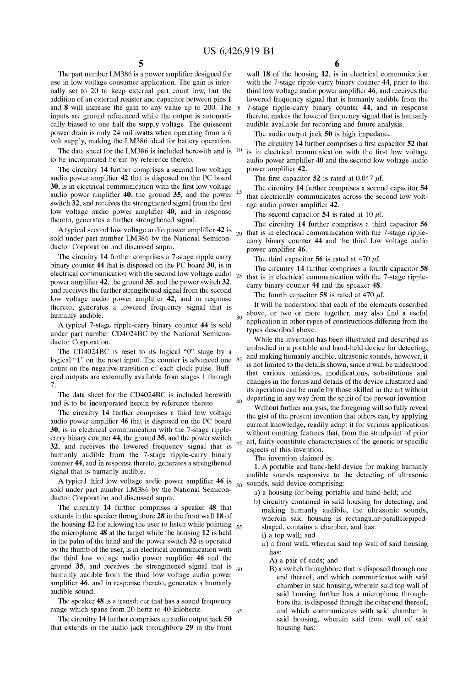$30<sup>2</sup>$ 

The part number LM386 is a power amplifier designed for use in low voltage consumer application. The gain is inter nally Set to 20 to keep external part count low, but the addition of an external resister and capacitor between pins 1 and 8 will increase the gain to any value up to 200. The inputs are ground referenced while the output is automati cally biased to one half the supply voltage. The quiescent power drain is only 24 milliwatts when operating from a 6 volt supply, making the LM386 ideal for battery operation.

to be incorporated herein by reference thereto.

The circuitry 14 further comprises a second low voltage audio power amplifier 42 that is disposed on the PC board 30, is in electrical communication with the first low voltage audio power amplifier 40, the ground 35, and the power switch 32, and receives the strengthened signal from the first low voltage audio power amplifier 40, and in response thereto, generates a further strengthened signal.

sold under part number LM386 by the National Semicon ductor Corporation and discussed supra.

The circuitry 14 further comprises a 7-stage ripple carry binary counter 44 that is disposed on the PC board 30, is in electrical communication with the Second low Voltage audio power amplifier 42, the ground 35, and the power switch 32, and receives the further strengthened signal from the second low voltage audio power amplifier 42, and in response thereto, generates a lowered frequency signal that is humanly audible.

A typical 7-stage ripple-carry binary counter 44 is Sold under part number CD4024BC by the National Semicon ductor Corporation.

The CD4024BC is reset to its logical "0" stage by a logical "1" on the reset input. The counter is advanced one 35 count on the negative transition of each clock pulse. Buff ered outputs are externally available from stages 1 through 7

The data sheet for the CD4024BC is included herewith and is to be incorporated herein by reference thereto.

The circuitry 14 further comprises a third low voltage audio power amplifier 46 that is disposed on the PC board 30, is in electrical communication with the 7-stage ripplecarry binary counter 44, the ground 35, and the power switch 32, and receives the lowered frequency signal that is humanly audible from the 7-stage ripple-carry binary counter 44, and in response thereto, generates a strengthened signal that is humanly audible.

A typical third low Voltage audio power amplifier 46 is sold under part number LM386 by the National Semicon ductor Corporation and discussed Supra.

The circuitry 14 further comprises a speaker 48 that extends in the speaker throughbore 28 in the front wall 18 of the housing  $12$  for allowing the user to listen while pointing  $55$ the microphone 48 at the target while the housing 12 is held in the palm of the hand and the power Switch 32 is operated by the thumb of the user, is in electrical communication with the third low voltage audio power amplifier 46 and the ground 35, and receives the strengthened signal that is humanly audible from the third low voltage audio power amplifier 46, and in response thereto, generates a humanly audible Sound. 60

The speaker 48 is a transducer that has a sound frequency range which spans from 20 hertz to 40 kilohertz. 65

The circuitry  $14$  further comprises an audio output jack  $50$ that extends in the audio jack throughbore 29 in the front

wall 18 of the housing 12, is in electrical communication with the 7-stage ripple-carry binary counter 44, prior to the third low Voltage audio power amplifier 46, and receives the lowered frequency signal that is humanly audible from the 7-stage ripple-carry binary counter 44, and in response thereto, makes the lowered frequency signal that is humanly audible available for recording and future analysis.

The audio output jack 50 is high impedance.

The data sheet for the LM386 is included herewith and is  $10$  is in electrical communication with the first low voltage The circuitry 14 further comprises a first capacitor 52 that audio power amplifier 40 and the second low voltage audio power amplifier 42.

The first capacitor 52 is rated at 0.047  $\mu$ f.

15 The circuitry 14 further comprises a second capacitor 54 that electrically communicates across the second low voltage audio power amplifier 42.

The second capacitor 54 is rated at 10  $\mu$ f.

A typical second low voltage audio power amplifier 42 is  $\frac{1}{20}$  that is in electrical communication with the 7-stage ripplethat is in electrical communication with the 7-Stage ripple carry binary counter 44 and the third low voltage audio power amplifier 46.

The third capacitor 56 is rated at 470  $\mu$ f.

25 The circuitry 14 further comprises a fourth capacitor 58 that is in electrical communication with the 7-stage ripplecarry binary counter 44 and the speaker 48.

The fourth capacitor 58 is rated at 470  $\mu$ f.

It will be understood that each of the elements described above, or two or more together, may also find a useful application in other types of constructions differing from the types described above.

40 While the invention has been illustrated and described as embodied in a portable and hand-held device for detecting, and making humanly audible, ultrasonic sounds, however, it is not limited to the details shown, since it will be understood that various omissions, modifications, Substitutions and changes in the forms and details of the device illustrated and its operation can be made by those skilled in the art without departing in any way from the Spirit of the present invention.

45 art, fairly constitute characteristics of the generic or specific Without further analysis, the foregoing will so fully reveal the gist of the present invention that others can, by applying current knowledge, readily adapt it for various applications without omitting features that, from the standpoint of prior aspects of this invention.

The invention claimed is:

 $50$  sounds, said device comprising: 1. A portable and hand-held device for making humanly audible sounds responsive to the detecting of ultrasonic

- a) a housing for being portable and hand-held; and
- b) circuitry contained in said housing for detecting, and making humanly audible, the ultrasonic sounds, wherein said housing is rectangular-parallelepipedshaped, contains a chamber, and has:
	- i) a top wall; and
	- ii) a front wall, wherein said top wall of said housing has:

A) a pair of ends; and

B) a Switch throughbore that is disposed through one end thereof, and which communicates with Said chamber in Said housing, wherein Said top wall of said housing further has a microphone throughbore that is disposed through the other end thereof, and which communicates with Said chamber in said housing, wherein said front wall of said housing has: